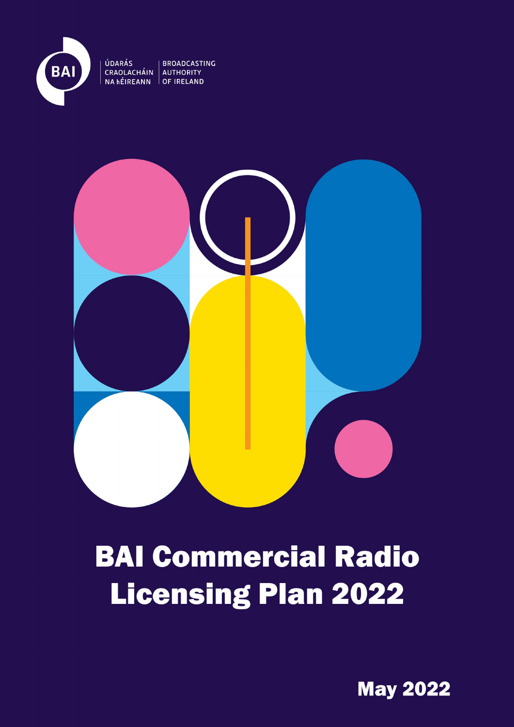

UDARÁS<br>CRAOLACHÁIN AUTHORITY<br>NA HÉIREANN OF IRELAND



## **BAI Commercial Radio Licensing Plan 2022**

**May 2022**